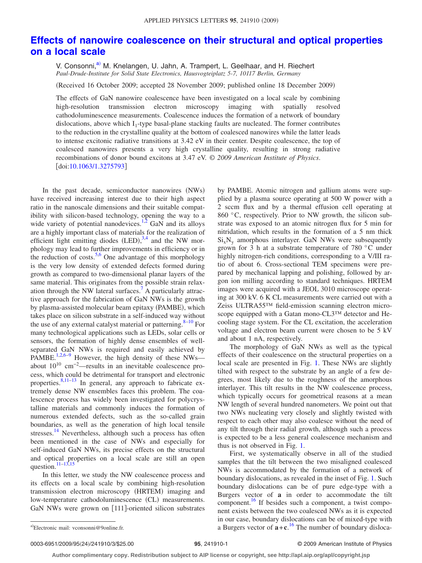## **[Effects of nanowire coalescence on their structural and optical properties](http://dx.doi.org/10.1063/1.3275793) [on a local scale](http://dx.doi.org/10.1063/1.3275793)**

V. Consonni,<sup>a)</sup> M. Knelangen, U. Jahn, A. Trampert, L. Geelhaar, and H. Riechert *Paul-Drude-Institute for Solid State Electronics, Hausvogteiplatz 5-7, 10117 Berlin, Germany*

Received 16 October 2009; accepted 28 November 2009; published online 18 December 2009-

The effects of GaN nanowire coalescence have been investigated on a local scale by combining high-resolution transmission electron microscopy imaging with spatially resolved cathodoluminescence measurements. Coalescence induces the formation of a network of boundary dislocations, above which  $I_1$ -type basal-plane stacking faults are nucleated. The former contributes to the reduction in the crystalline quality at the bottom of coalesced nanowires while the latter leads to intense excitonic radiative transitions at 3.42 eV in their center. Despite coalescence, the top of coalesced nanowires presents a very high crystalline quality, resulting in strong radiative recombinations of donor bound excitons at 3.47 eV. © *2009 American Institute of Physics*. doi[:10.1063/1.3275793](http://dx.doi.org/10.1063/1.3275793)

In the past decade, semiconductor nanowires (NWs) have received increasing interest due to their high aspect ratio in the nanoscale dimensions and their suitable compatibility with silicon-based technology, opening the way to a wide variety of potential nanodevices. $1,2$  $1,2$  GaN and its alloys are a highly important class of materials for the realization of efficient light emitting diodes  $(LED)$ ,  $3,4$  $3,4$  and the NW morphology may lead to further improvements in efficiency or in the reduction of costs.<sup>5[,6](#page-2-5)</sup> One advantage of this morphology is the very low density of extended defects formed during growth as compared to two-dimensional planar layers of the same material. This originates from the possible strain relaxation through the NW lateral surfaces.<sup>7</sup> A particularly attractive approach for the fabrication of GaN NWs is the growth by plasma-assisted molecular beam epitaxy (PAMBE), which takes place on silicon substrate in a self-induced way without the use of any external catalyst material or patterning.  $8-10$  For many technological applications such as LEDs, solar cells or sensors, the formation of highly dense ensembles of wellseparated GaN NWs is required and easily achieved by PAMBE.<sup>1[,2,](#page-2-1)[6–](#page-2-5)[9](#page-2-9)</sup> However, the high density of these NWs about 1010 cm−2—results in an inevitable coalescence process, which could be detrimental for transport and electronic properties.  $8,11-13$  $8,11-13$  $8,11-13$  In general, any approach to fabricate extremely dense NW ensembles faces this problem. The coalescence process has widely been investigated for polycrystalline materials and commonly induces the formation of numerous extended defects, such as the so-called grain boundaries, as well as the generation of high local tensile stresses.<sup>14</sup> Nevertheless, although such a process has often been mentioned in the case of NWs and especially for self-induced GaN NWs, its precise effects on the structural and optical properties on a local scale are still an open question. $\frac{11-13,15}{2}$  $\frac{11-13,15}{2}$  $\frac{11-13,15}{2}$ 

In this letter, we study the NW coalescence process and its effects on a local scale by combining high-resolution transmission electron microscopy (HRTEM) imaging and low-temperature cathodoluminescence (CL) measurements. GaN NWs were grown on [111]-oriented silicon substrates

by PAMBE. Atomic nitrogen and gallium atoms were supplied by a plasma source operating at 500 W power with a 2 sccm flux and by a thermal effusion cell operating at 860 °C, respectively. Prior to NW growth, the silicon substrate was exposed to an atomic nitrogen flux for 5 min for nitridation, which results in the formation of a 5 nm thick  $Si<sub>x</sub>N<sub>y</sub>$  amorphous interlayer. GaN NWs were subsequently grown for 3 h at a substrate temperature of 780 °C under highly nitrogen-rich conditions, corresponding to a V/III ratio of about 6. Cross-sectional TEM specimens were prepared by mechanical lapping and polishing, followed by argon ion milling according to standard techniques. HRTEM images were acquired with a JEOL 3010 microscope operating at 300 kV. 6 K CL measurements were carried out with a Zeiss ULTRA55™ field-emission scanning electron microscope equipped with a Gatan mono-CL3™ detector and Hecooling stage system. For the CL excitation, the acceleration voltage and electron beam current were chosen to be 5 kV and about 1 nA, respectively.

The morphology of GaN NWs as well as the typical effects of their coalescence on the structural properties on a local scale are presented in Fig. [1.](#page-1-0) These NWs are slightly tilted with respect to the substrate by an angle of a few degrees, most likely due to the roughness of the amorphous interlayer. This tilt results in the NW coalescence process, which typically occurs for geometrical reasons at a mean NW length of several hundred nanometers. We point out that two NWs nucleating very closely and slightly twisted with respect to each other may also coalesce without the need of any tilt through their radial growth, although such a process is expected to be a less general coalescence mechanism and thus is not observed in Fig. [1.](#page-1-0)

First, we systematically observe in all of the studied samples that the tilt between the two misaligned coalesced NWs is accommodated by the formation of a network of boundary dislocations, as revealed in the inset of Fig. [1.](#page-1-0) Such boundary dislocations can be of pure edge-type with a Burgers vector of **a** in order to accommodate the tilt component.<sup>16</sup> If besides such a component, a twist component exists between the two coalesced NWs as it is expected in our case, boundary dislocations can be of mixed-type with a) Electronic mail: vconsonni@9online.fr. **a** Burgers vector of  $\mathbf{a} + \mathbf{c}$ . <sup>[16](#page-2-14)</sup> The number of boundary disloca-

0003-6951/2009/95(24)/241910/3/\$25.00

<span id="page-0-0"></span>Electronic mail: vconsonni@9online.fr.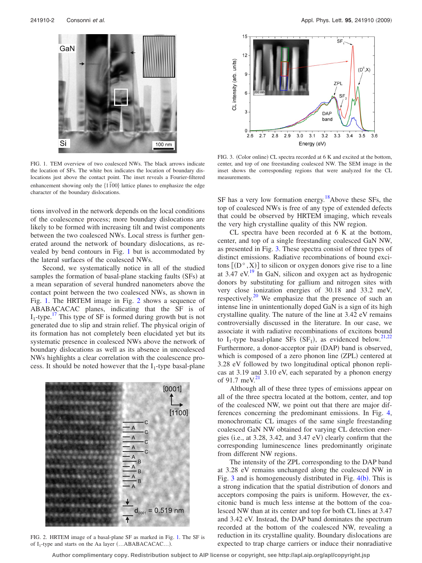<span id="page-1-0"></span>

FIG. 1. TEM overview of two coalesced NWs. The black arrows indicate the location of SFs. The white box indicates the location of boundary dislocations just above the contact point. The inset reveals a Fourier-filtered enhancement showing only the  ${1\overline{100}}$  lattice planes to emphasize the edge character of the boundary dislocations.

tions involved in the network depends on the local conditions of the coalescence process; more boundary dislocations are likely to be formed with increasing tilt and twist components between the two coalesced NWs. Local stress is further generated around the network of boundary dislocations, as revealed by bend contours in Fig. [1](#page-1-0) but is accommodated by the lateral surfaces of the coalesced NWs.

Second, we systematically notice in all of the studied samples the formation of basal-plane stacking faults (SFs) at a mean separation of several hundred nanometers above the contact point between the two coalesced NWs, as shown in Fig. [1.](#page-1-0) The HRTEM image in Fig. [2](#page-1-1) shows a sequence of ABABACACAC planes, indicating that the SF is of  $I_1$ -type.<sup>17</sup> This type of SF is formed during growth but is not generated due to slip and strain relief. The physical origin of its formation has not completely been elucidated yet but its systematic presence in coalesced NWs above the network of boundary dislocations as well as its absence in uncoalesced NWs highlights a clear correlation with the coalescence process. It should be noted however that the  $I_1$ -type basal-plane

<span id="page-1-1"></span>

FIG. 2. HRTEM image of a basal-plane SF as marked in Fig. [1.](#page-1-0) The SF is of  $I_1$ -type and starts on the Aa layer (...ABABACACAC...).

<span id="page-1-2"></span>

FIG. 3. (Color online) CL spectra recorded at 6 K and excited at the bottom, center, and top of one freestanding coalesced NW. The SEM image in the inset shows the corresponding regions that were analyzed for the CL measurements.

SF has a very low formation energy.<sup>18</sup>Above these SFs, the top of coalesced NWs is free of any type of extended defects that could be observed by HRTEM imaging, which reveals the very high crystalline quality of this NW region.

CL spectra have been recorded at 6 K at the bottom, center, and top of a single freestanding coalesced GaN NW, as presented in Fig. [3.](#page-1-2) These spectra consist of three types of distinct emissions. Radiative recombinations of bound excitons  $[(D^\circ, X)]$  to silicon or oxygen donors give rise to a line at  $3.47$  eV.<sup>19</sup> In GaN, silicon and oxygen act as hydrogenic donors by substituting for gallium and nitrogen sites with very close ionization energies of 30.18 and 33.2 meV, respectively.<sup>20</sup> We emphasize that the presence of such an intense line in unintentionally doped GaN is a sign of its high crystalline quality. The nature of the line at 3.42 eV remains controversially discussed in the literature. In our case, we associate it with radiative recombinations of excitons bound to I<sub>1</sub>-type basal-plane SFs (SF<sub>1</sub>), as evidenced below.<sup>21,[22](#page-2-20)</sup> Furthermore, a donor-acceptor pair (DAP) band is observed, which is composed of a zero phonon line (ZPL) centered at 3.28 eV followed by two longitudinal optical phonon replicas at 3.19 and 3.10 eV, each separated by a phonon energy of 91.7 meV. $2$ 

Although all of these three types of emissions appear on all of the three spectra located at the bottom, center, and top of the coalesced NW, we point out that there are major differences concerning the predominant emissions. In Fig. [4,](#page-2-21) monochromatic CL images of the same single freestanding coalesced GaN NW obtained for varying CL detection energies (i.e., at 3.28, 3.42, and 3.47 eV) clearly confirm that the corresponding luminescence lines predominantly originate from different NW regions.

The intensity of the ZPL corresponding to the DAP band at 3.28 eV remains unchanged along the coalesced NW in Fig.  $3$  and is homogeneously distributed in Fig.  $4(b)$  $4(b)$ . This is a strong indication that the spatial distribution of donors and acceptors composing the pairs is uniform. However, the excitonic band is much less intense at the bottom of the coalesced NW than at its center and top for both CL lines at 3.47 and 3.42 eV. Instead, the DAP band dominates the spectrum recorded at the bottom of the coalesced NW, revealing a reduction in its crystalline quality. Boundary dislocations are expected to trap charge carriers or induce their nonradiative

**Author complimentary copy. Redistribution subject to AIP license or copyright, see http://apl.aip.org/apl/copyright.jsp**